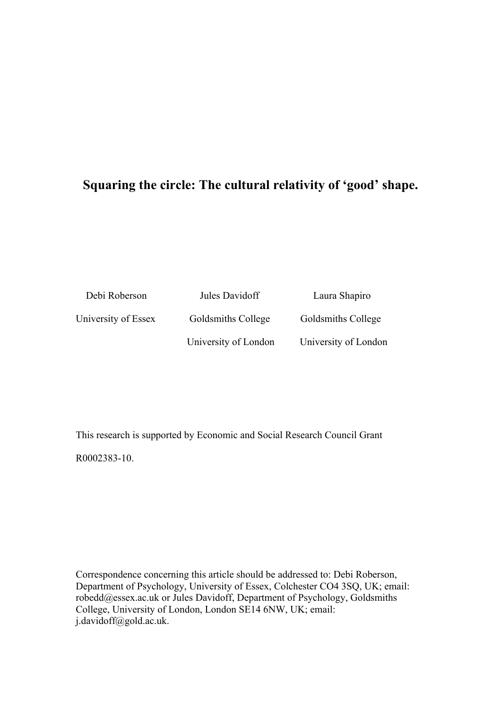# **Squaring the circle: The cultural relativity of 'good' shape.**

| Debi Roberson       | Jules Davidoff       | Laura Shapiro        |  |  |
|---------------------|----------------------|----------------------|--|--|
| University of Essex | Goldsmiths College   | Goldsmiths College   |  |  |
|                     | University of London | University of London |  |  |

This research is supported by Economic and Social Research Council Grant R0002383-10.

Correspondence concerning this article should be addressed to: Debi Roberson, Department of Psychology, University of Essex, Colchester CO4 3SQ, UK; email: robedd@essex.ac.uk or Jules Davidoff, Department of Psychology, Goldsmiths College, University of London, London SE14 6NW, UK; email: j.davidoff@gold.ac.uk.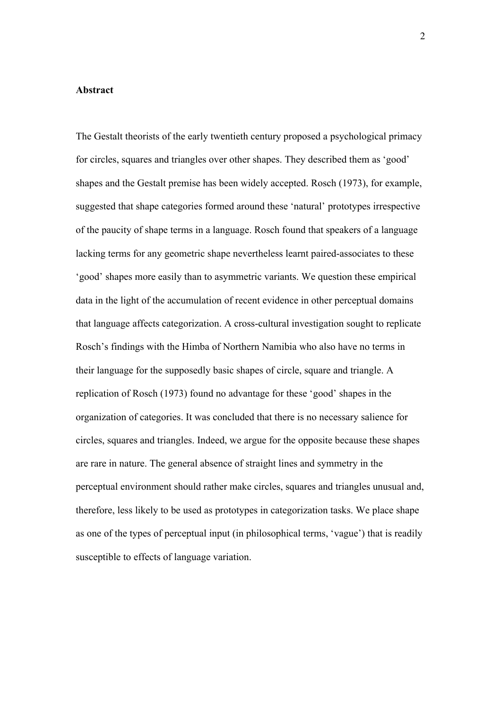## **Abstract**

The Gestalt theorists of the early twentieth century proposed a psychological primacy for circles, squares and triangles over other shapes. They described them as 'good' shapes and the Gestalt premise has been widely accepted. Rosch (1973), for example, suggested that shape categories formed around these 'natural' prototypes irrespective of the paucity of shape terms in a language. Rosch found that speakers of a language lacking terms for any geometric shape nevertheless learnt paired-associates to these 'good' shapes more easily than to asymmetric variants. We question these empirical data in the light of the accumulation of recent evidence in other perceptual domains that language affects categorization. A cross-cultural investigation sought to replicate Rosch's findings with the Himba of Northern Namibia who also have no terms in their language for the supposedly basic shapes of circle, square and triangle. A replication of Rosch (1973) found no advantage for these 'good' shapes in the organization of categories. It was concluded that there is no necessary salience for circles, squares and triangles. Indeed, we argue for the opposite because these shapes are rare in nature. The general absence of straight lines and symmetry in the perceptual environment should rather make circles, squares and triangles unusual and, therefore, less likely to be used as prototypes in categorization tasks. We place shape as one of the types of perceptual input (in philosophical terms, 'vague') that is readily susceptible to effects of language variation.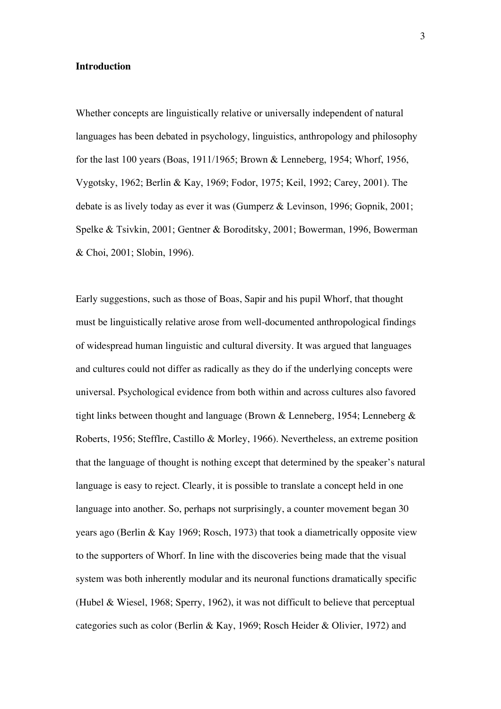## **Introduction**

Whether concepts are linguistically relative or universally independent of natural languages has been debated in psychology, linguistics, anthropology and philosophy for the last 100 years (Boas, 1911/1965; Brown & Lenneberg, 1954; Whorf, 1956, Vygotsky, 1962; Berlin & Kay, 1969; Fodor, 1975; Keil, 1992; Carey, 2001). The debate is as lively today as ever it was (Gumperz & Levinson, 1996; Gopnik, 2001; Spelke & Tsivkin, 2001; Gentner & Boroditsky, 2001; Bowerman, 1996, Bowerman & Choi, 2001; Slobin, 1996).

Early suggestions, such as those of Boas, Sapir and his pupil Whorf, that thought must be linguistically relative arose from well-documented anthropological findings of widespread human linguistic and cultural diversity. It was argued that languages and cultures could not differ as radically as they do if the underlying concepts were universal. Psychological evidence from both within and across cultures also favored tight links between thought and language (Brown & Lenneberg, 1954; Lenneberg & Roberts, 1956; Stefflre, Castillo & Morley, 1966). Nevertheless, an extreme position that the language of thought is nothing except that determined by the speaker's natural language is easy to reject. Clearly, it is possible to translate a concept held in one language into another. So, perhaps not surprisingly, a counter movement began 30 years ago (Berlin & Kay 1969; Rosch, 1973) that took a diametrically opposite view to the supporters of Whorf. In line with the discoveries being made that the visual system was both inherently modular and its neuronal functions dramatically specific (Hubel & Wiesel, 1968; Sperry, 1962), it was not difficult to believe that perceptual categories such as color (Berlin & Kay, 1969; Rosch Heider & Olivier, 1972) and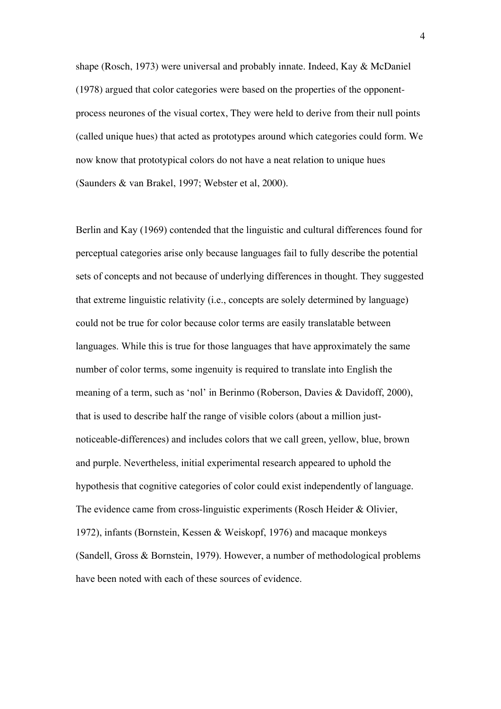shape (Rosch, 1973) were universal and probably innate. Indeed, Kay & McDaniel (1978) argued that color categories were based on the properties of the opponentprocess neurones of the visual cortex, They were held to derive from their null points (called unique hues) that acted as prototypes around which categories could form. We now know that prototypical colors do not have a neat relation to unique hues (Saunders & van Brakel, 1997; Webster et al, 2000).

Berlin and Kay (1969) contended that the linguistic and cultural differences found for perceptual categories arise only because languages fail to fully describe the potential sets of concepts and not because of underlying differences in thought. They suggested that extreme linguistic relativity (i.e., concepts are solely determined by language) could not be true for color because color terms are easily translatable between languages. While this is true for those languages that have approximately the same number of color terms, some ingenuity is required to translate into English the meaning of a term, such as 'nol' in Berinmo (Roberson, Davies & Davidoff, 2000), that is used to describe half the range of visible colors (about a million justnoticeable-differences) and includes colors that we call green, yellow, blue, brown and purple. Nevertheless, initial experimental research appeared to uphold the hypothesis that cognitive categories of color could exist independently of language. The evidence came from cross-linguistic experiments (Rosch Heider & Olivier, 1972), infants (Bornstein, Kessen & Weiskopf, 1976) and macaque monkeys (Sandell, Gross & Bornstein, 1979). However, a number of methodological problems have been noted with each of these sources of evidence.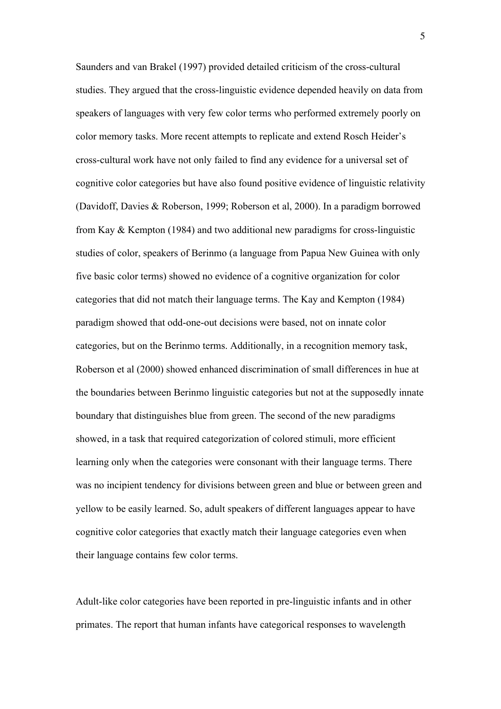Saunders and van Brakel (1997) provided detailed criticism of the cross-cultural studies. They argued that the cross-linguistic evidence depended heavily on data from speakers of languages with very few color terms who performed extremely poorly on color memory tasks. More recent attempts to replicate and extend Rosch Heider's cross-cultural work have not only failed to find any evidence for a universal set of cognitive color categories but have also found positive evidence of linguistic relativity (Davidoff, Davies & Roberson, 1999; Roberson et al, 2000). In a paradigm borrowed from Kay & Kempton (1984) and two additional new paradigms for cross-linguistic studies of color, speakers of Berinmo (a language from Papua New Guinea with only five basic color terms) showed no evidence of a cognitive organization for color categories that did not match their language terms. The Kay and Kempton (1984) paradigm showed that odd-one-out decisions were based, not on innate color categories, but on the Berinmo terms. Additionally, in a recognition memory task, Roberson et al (2000) showed enhanced discrimination of small differences in hue at the boundaries between Berinmo linguistic categories but not at the supposedly innate boundary that distinguishes blue from green. The second of the new paradigms showed, in a task that required categorization of colored stimuli, more efficient learning only when the categories were consonant with their language terms. There was no incipient tendency for divisions between green and blue or between green and yellow to be easily learned. So, adult speakers of different languages appear to have cognitive color categories that exactly match their language categories even when their language contains few color terms.

Adult-like color categories have been reported in pre-linguistic infants and in other primates. The report that human infants have categorical responses to wavelength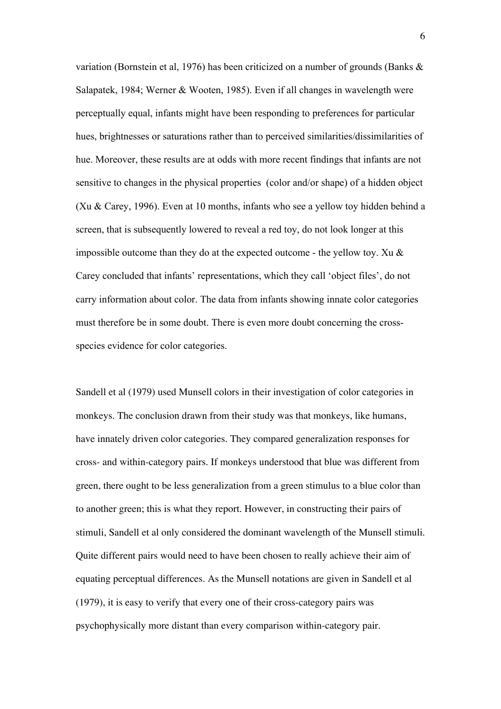variation (Bornstein et al, 1976) has been criticized on a number of grounds (Banks & Salapatek, 1984; Werner & Wooten, 1985). Even if all changes in wavelength were perceptually equal, infants might have been responding to preferences for particular hues, brightnesses or saturations rather than to perceived similarities/dissimilarities of hue. Moreover, these results are at odds with more recent findings that infants are not sensitive to changes in the physical properties (color and/or shape) of a hidden object (Xu & Carey, 1996). Even at 10 months, infants who see a yellow toy hidden behind a screen, that is subsequently lowered to reveal a red toy, do not look longer at this impossible outcome than they do at the expected outcome - the yellow toy. Xu  $\&$ Carey concluded that infants' representations, which they call 'object files', do not carry information about color. The data from infants showing innate color categories must therefore be in some doubt. There is even more doubt concerning the crossspecies evidence for color categories.

Sandell et al (1979) used Munsell colors in their investigation of color categories in monkeys. The conclusion drawn from their study was that monkeys, like humans, have innately driven color categories. They compared generalization responses for cross- and within-category pairs. If monkeys understood that blue was different from green, there ought to be less generalization from a green stimulus to a blue color than to another green; this is what they report. However, in constructing their pairs of stimuli, Sandell et al only considered the dominant wavelength of the Munsell stimuli. Quite different pairs would need to have been chosen to really achieve their aim of equating perceptual differences. As the Munsell notations are given in Sandell et al (1979), it is easy to verify that every one of their cross-category pairs was psychophysically more distant than every comparison within-category pair.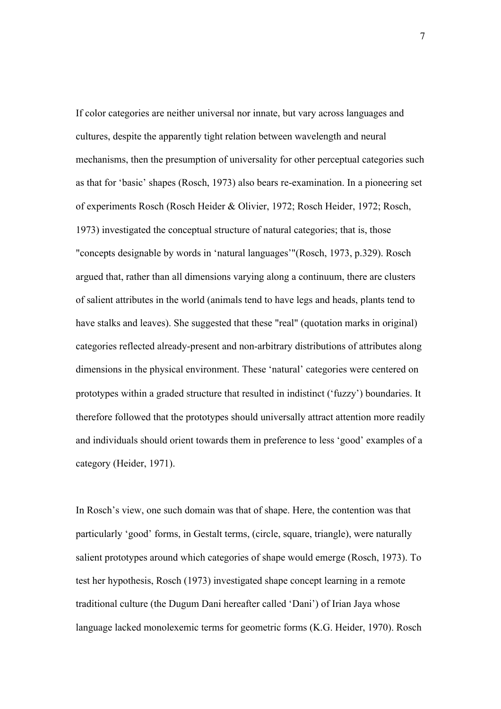If color categories are neither universal nor innate, but vary across languages and cultures, despite the apparently tight relation between wavelength and neural mechanisms, then the presumption of universality for other perceptual categories such as that for 'basic' shapes (Rosch, 1973) also bears re-examination. In a pioneering set of experiments Rosch (Rosch Heider & Olivier, 1972; Rosch Heider, 1972; Rosch, 1973) investigated the conceptual structure of natural categories; that is, those "concepts designable by words in 'natural languages'"(Rosch, 1973, p.329). Rosch argued that, rather than all dimensions varying along a continuum, there are clusters of salient attributes in the world (animals tend to have legs and heads, plants tend to have stalks and leaves). She suggested that these "real" (quotation marks in original) categories reflected already-present and non-arbitrary distributions of attributes along dimensions in the physical environment. These 'natural' categories were centered on prototypes within a graded structure that resulted in indistinct ('fuzzy') boundaries. It therefore followed that the prototypes should universally attract attention more readily and individuals should orient towards them in preference to less 'good' examples of a category (Heider, 1971).

In Rosch's view, one such domain was that of shape. Here, the contention was that particularly 'good' forms, in Gestalt terms, (circle, square, triangle), were naturally salient prototypes around which categories of shape would emerge (Rosch, 1973). To test her hypothesis, Rosch (1973) investigated shape concept learning in a remote traditional culture (the Dugum Dani hereafter called 'Dani') of Irian Jaya whose language lacked monolexemic terms for geometric forms (K.G. Heider, 1970). Rosch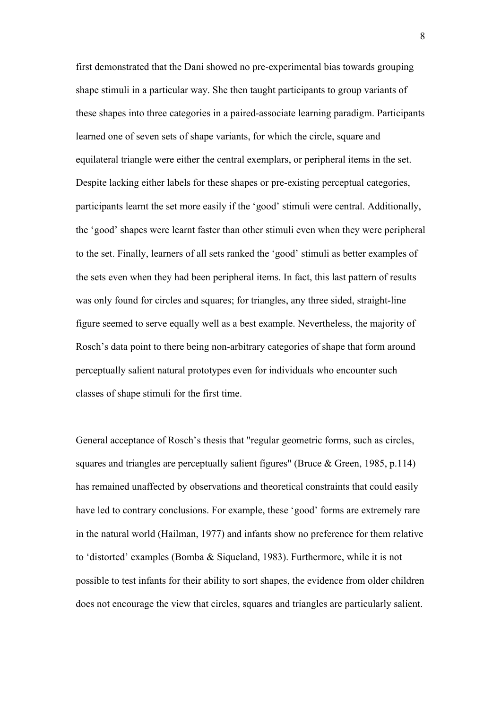first demonstrated that the Dani showed no pre-experimental bias towards grouping shape stimuli in a particular way. She then taught participants to group variants of these shapes into three categories in a paired-associate learning paradigm. Participants learned one of seven sets of shape variants, for which the circle, square and equilateral triangle were either the central exemplars, or peripheral items in the set. Despite lacking either labels for these shapes or pre-existing perceptual categories, participants learnt the set more easily if the 'good' stimuli were central. Additionally, the 'good' shapes were learnt faster than other stimuli even when they were peripheral to the set. Finally, learners of all sets ranked the 'good' stimuli as better examples of the sets even when they had been peripheral items. In fact, this last pattern of results was only found for circles and squares; for triangles, any three sided, straight-line figure seemed to serve equally well as a best example. Nevertheless, the majority of Rosch's data point to there being non-arbitrary categories of shape that form around perceptually salient natural prototypes even for individuals who encounter such classes of shape stimuli for the first time.

General acceptance of Rosch's thesis that "regular geometric forms, such as circles, squares and triangles are perceptually salient figures" (Bruce & Green, 1985, p.114) has remained unaffected by observations and theoretical constraints that could easily have led to contrary conclusions. For example, these 'good' forms are extremely rare in the natural world (Hailman, 1977) and infants show no preference for them relative to 'distorted' examples (Bomba & Siqueland, 1983). Furthermore, while it is not possible to test infants for their ability to sort shapes, the evidence from older children does not encourage the view that circles, squares and triangles are particularly salient.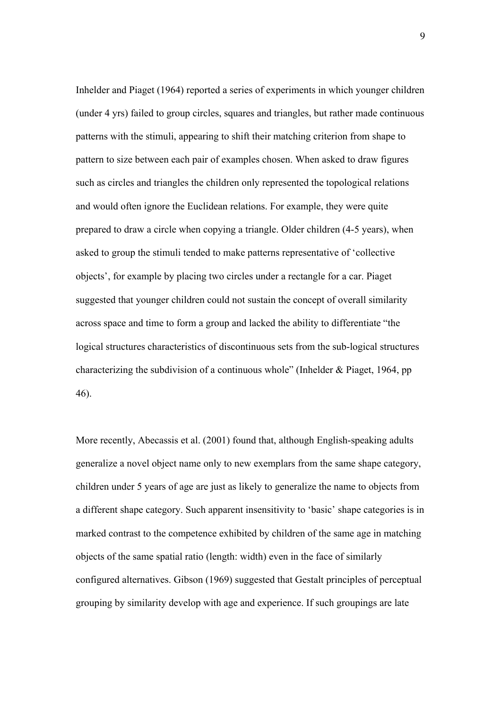Inhelder and Piaget (1964) reported a series of experiments in which younger children (under 4 yrs) failed to group circles, squares and triangles, but rather made continuous patterns with the stimuli, appearing to shift their matching criterion from shape to pattern to size between each pair of examples chosen. When asked to draw figures such as circles and triangles the children only represented the topological relations and would often ignore the Euclidean relations. For example, they were quite prepared to draw a circle when copying a triangle. Older children (4-5 years), when asked to group the stimuli tended to make patterns representative of 'collective objects', for example by placing two circles under a rectangle for a car. Piaget suggested that younger children could not sustain the concept of overall similarity across space and time to form a group and lacked the ability to differentiate "the logical structures characteristics of discontinuous sets from the sub-logical structures characterizing the subdivision of a continuous whole" (Inhelder & Piaget, 1964, pp 46).

More recently, Abecassis et al. (2001) found that, although English-speaking adults generalize a novel object name only to new exemplars from the same shape category, children under 5 years of age are just as likely to generalize the name to objects from a different shape category. Such apparent insensitivity to 'basic' shape categories is in marked contrast to the competence exhibited by children of the same age in matching objects of the same spatial ratio (length: width) even in the face of similarly configured alternatives. Gibson (1969) suggested that Gestalt principles of perceptual grouping by similarity develop with age and experience. If such groupings are late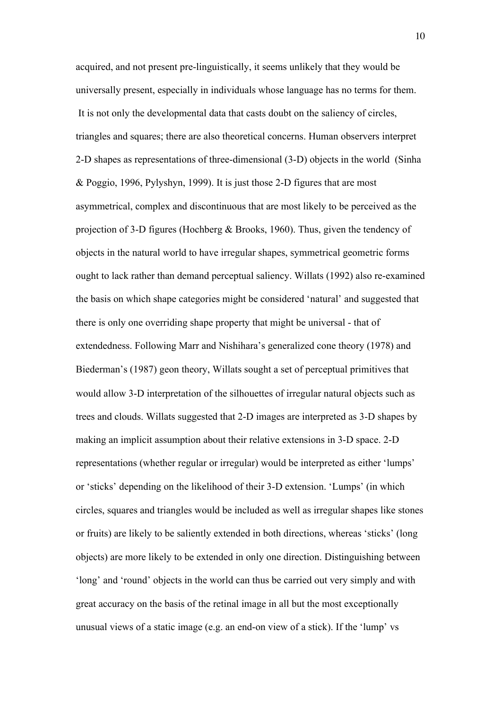acquired, and not present pre-linguistically, it seems unlikely that they would be universally present, especially in individuals whose language has no terms for them. It is not only the developmental data that casts doubt on the saliency of circles, triangles and squares; there are also theoretical concerns. Human observers interpret 2-D shapes as representations of three-dimensional (3-D) objects in the world (Sinha & Poggio, 1996, Pylyshyn, 1999). It is just those 2-D figures that are most asymmetrical, complex and discontinuous that are most likely to be perceived as the projection of 3-D figures (Hochberg & Brooks, 1960). Thus, given the tendency of objects in the natural world to have irregular shapes, symmetrical geometric forms ought to lack rather than demand perceptual saliency. Willats (1992) also re-examined the basis on which shape categories might be considered 'natural' and suggested that there is only one overriding shape property that might be universal - that of extendedness. Following Marr and Nishihara's generalized cone theory (1978) and Biederman's (1987) geon theory, Willats sought a set of perceptual primitives that would allow 3-D interpretation of the silhouettes of irregular natural objects such as trees and clouds. Willats suggested that 2-D images are interpreted as 3-D shapes by making an implicit assumption about their relative extensions in 3-D space. 2-D representations (whether regular or irregular) would be interpreted as either 'lumps' or 'sticks' depending on the likelihood of their 3-D extension. 'Lumps' (in which circles, squares and triangles would be included as well as irregular shapes like stones or fruits) are likely to be saliently extended in both directions, whereas 'sticks' (long objects) are more likely to be extended in only one direction. Distinguishing between 'long' and 'round' objects in the world can thus be carried out very simply and with great accuracy on the basis of the retinal image in all but the most exceptionally unusual views of a static image (e.g. an end-on view of a stick). If the 'lump' vs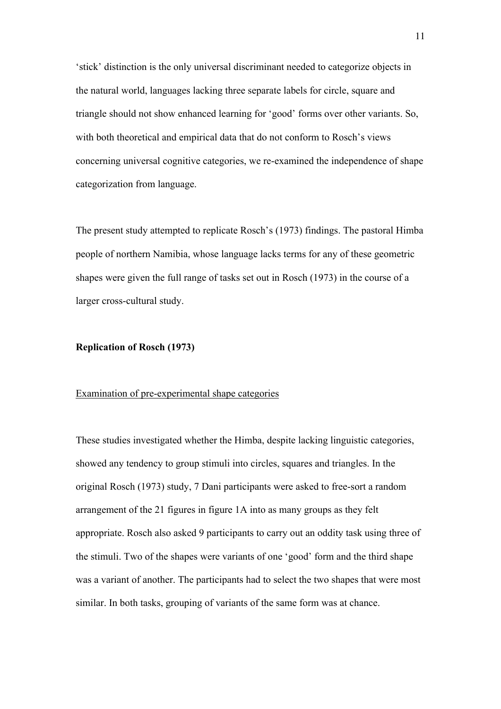'stick' distinction is the only universal discriminant needed to categorize objects in the natural world, languages lacking three separate labels for circle, square and triangle should not show enhanced learning for 'good' forms over other variants. So, with both theoretical and empirical data that do not conform to Rosch's views concerning universal cognitive categories, we re-examined the independence of shape categorization from language.

The present study attempted to replicate Rosch's (1973) findings. The pastoral Himba people of northern Namibia, whose language lacks terms for any of these geometric shapes were given the full range of tasks set out in Rosch (1973) in the course of a larger cross-cultural study.

## **Replication of Rosch (1973)**

# Examination of pre-experimental shape categories

These studies investigated whether the Himba, despite lacking linguistic categories, showed any tendency to group stimuli into circles, squares and triangles. In the original Rosch (1973) study, 7 Dani participants were asked to free-sort a random arrangement of the 21 figures in figure 1A into as many groups as they felt appropriate. Rosch also asked 9 participants to carry out an oddity task using three of the stimuli. Two of the shapes were variants of one 'good' form and the third shape was a variant of another. The participants had to select the two shapes that were most similar. In both tasks, grouping of variants of the same form was at chance.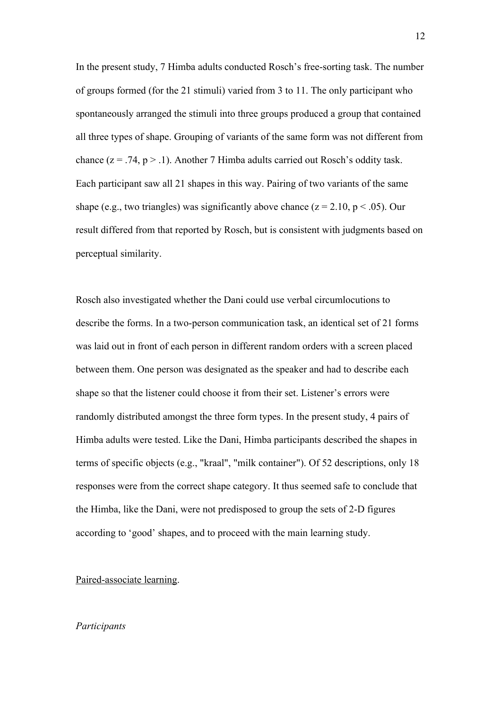In the present study, 7 Himba adults conducted Rosch's free-sorting task. The number of groups formed (for the 21 stimuli) varied from 3 to 11. The only participant who spontaneously arranged the stimuli into three groups produced a group that contained all three types of shape. Grouping of variants of the same form was not different from chance ( $z = .74$ ,  $p > .1$ ). Another 7 Himba adults carried out Rosch's oddity task. Each participant saw all 21 shapes in this way. Pairing of two variants of the same shape (e.g., two triangles) was significantly above chance ( $z = 2.10$ ,  $p < .05$ ). Our result differed from that reported by Rosch, but is consistent with judgments based on perceptual similarity.

Rosch also investigated whether the Dani could use verbal circumlocutions to describe the forms. In a two-person communication task, an identical set of 21 forms was laid out in front of each person in different random orders with a screen placed between them. One person was designated as the speaker and had to describe each shape so that the listener could choose it from their set. Listener's errors were randomly distributed amongst the three form types. In the present study, 4 pairs of Himba adults were tested. Like the Dani, Himba participants described the shapes in terms of specific objects (e.g., "kraal", "milk container"). Of 52 descriptions, only 18 responses were from the correct shape category. It thus seemed safe to conclude that the Himba, like the Dani, were not predisposed to group the sets of 2-D figures according to 'good' shapes, and to proceed with the main learning study.

## Paired-associate learning.

## *Participants*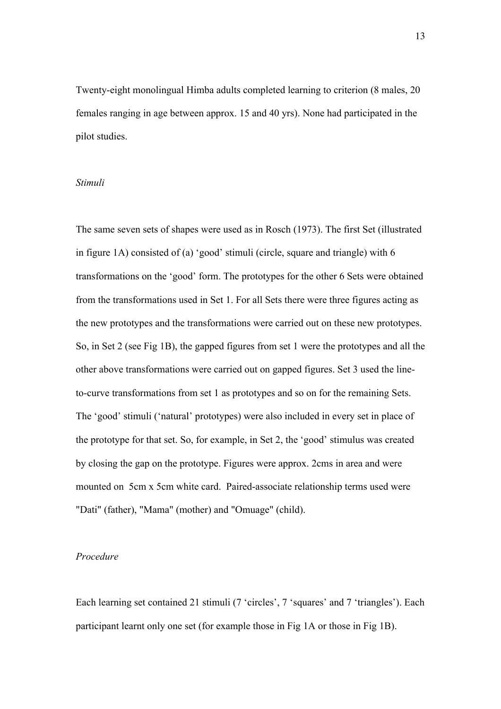Twenty-eight monolingual Himba adults completed learning to criterion (8 males, 20 females ranging in age between approx. 15 and 40 yrs). None had participated in the pilot studies.

## *Stimuli*

The same seven sets of shapes were used as in Rosch (1973). The first Set (illustrated in figure 1A) consisted of (a) 'good' stimuli (circle, square and triangle) with 6 transformations on the 'good' form. The prototypes for the other 6 Sets were obtained from the transformations used in Set 1. For all Sets there were three figures acting as the new prototypes and the transformations were carried out on these new prototypes. So, in Set 2 (see Fig 1B), the gapped figures from set 1 were the prototypes and all the other above transformations were carried out on gapped figures. Set 3 used the lineto-curve transformations from set 1 as prototypes and so on for the remaining Sets. The 'good' stimuli ('natural' prototypes) were also included in every set in place of the prototype for that set. So, for example, in Set 2, the 'good' stimulus was created by closing the gap on the prototype. Figures were approx. 2cms in area and were mounted on 5cm x 5cm white card. Paired-associate relationship terms used were "Dati" (father), "Mama" (mother) and "Omuage" (child).

## *Procedure*

Each learning set contained 21 stimuli (7 'circles', 7 'squares' and 7 'triangles'). Each participant learnt only one set (for example those in Fig 1A or those in Fig 1B).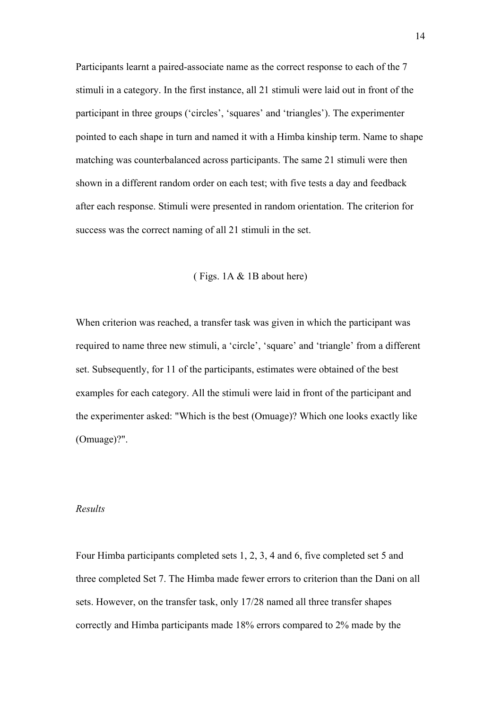Participants learnt a paired-associate name as the correct response to each of the 7 stimuli in a category. In the first instance, all 21 stimuli were laid out in front of the participant in three groups ('circles', 'squares' and 'triangles'). The experimenter pointed to each shape in turn and named it with a Himba kinship term. Name to shape matching was counterbalanced across participants. The same 21 stimuli were then shown in a different random order on each test; with five tests a day and feedback after each response. Stimuli were presented in random orientation. The criterion for success was the correct naming of all 21 stimuli in the set.

#### ( Figs. 1A & 1B about here)

When criterion was reached, a transfer task was given in which the participant was required to name three new stimuli, a 'circle', 'square' and 'triangle' from a different set. Subsequently, for 11 of the participants, estimates were obtained of the best examples for each category. All the stimuli were laid in front of the participant and the experimenter asked: "Which is the best (Omuage)? Which one looks exactly like (Omuage)?".

#### *Results*

Four Himba participants completed sets 1, 2, 3, 4 and 6, five completed set 5 and three completed Set 7. The Himba made fewer errors to criterion than the Dani on all sets. However, on the transfer task, only 17/28 named all three transfer shapes correctly and Himba participants made 18% errors compared to 2% made by the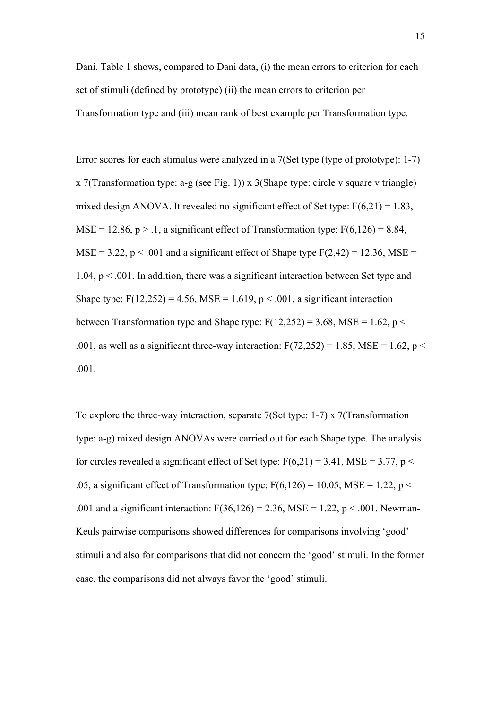Dani. Table 1 shows, compared to Dani data, (i) the mean errors to criterion for each set of stimuli (defined by prototype) (ii) the mean errors to criterion per Transformation type and (iii) mean rank of best example per Transformation type.

Error scores for each stimulus were analyzed in a 7(Set type (type of prototype): 1-7) x 7(Transformation type: a-g (see Fig. 1)) x 3(Shape type: circle v square v triangle) mixed design ANOVA. It revealed no significant effect of Set type:  $F(6,21) = 1.83$ , MSE = 12.86,  $p > 0.1$ , a significant effect of Transformation type:  $F(6,126) = 8.84$ ,  $MSE = 3.22$ , p < .001 and a significant effect of Shape type  $F(2,42) = 12.36$ ,  $MSE =$  $1.04$ ,  $p < .001$ . In addition, there was a significant interaction between Set type and Shape type:  $F(12,252) = 4.56$ , MSE = 1.619, p < .001, a significant interaction between Transformation type and Shape type:  $F(12,252) = 3.68$ , MSE = 1.62, p < .001, as well as a significant three-way interaction:  $F(72,252) = 1.85$ , MSE = 1.62, p < .001.

To explore the three-way interaction, separate 7(Set type: 1-7) x 7(Transformation type: a-g) mixed design ANOVAs were carried out for each Shape type. The analysis for circles revealed a significant effect of Set type:  $F(6,21) = 3.41$ , MSE = 3.77, p < .05, a significant effect of Transformation type:  $F(6,126) = 10.05$ , MSE = 1.22, p < .001 and a significant interaction:  $F(36,126) = 2.36$ , MSE = 1.22, p < .001. Newman-Keuls pairwise comparisons showed differences for comparisons involving 'good' stimuli and also for comparisons that did not concern the 'good' stimuli. In the former case, the comparisons did not always favor the 'good' stimuli.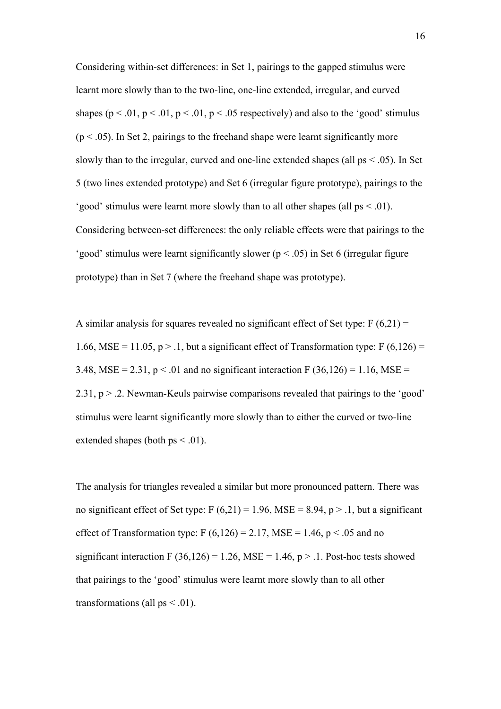Considering within-set differences: in Set 1, pairings to the gapped stimulus were learnt more slowly than to the two-line, one-line extended, irregular, and curved shapes ( $p < .01$ ,  $p < .01$ ,  $p < .01$ ,  $p < .05$  respectively) and also to the 'good' stimulus  $(p < .05)$ . In Set 2, pairings to the freehand shape were learnt significantly more slowly than to the irregular, curved and one-line extended shapes (all  $ps < .05$ ). In Set 5 (two lines extended prototype) and Set 6 (irregular figure prototype), pairings to the 'good' stimulus were learnt more slowly than to all other shapes (all ps < .01). Considering between-set differences: the only reliable effects were that pairings to the 'good' stimulus were learnt significantly slower ( $p < .05$ ) in Set 6 (irregular figure prototype) than in Set 7 (where the freehand shape was prototype).

A similar analysis for squares revealed no significant effect of Set type:  $F(6,21) =$ 1.66, MSE = 11.05, p > .1, but a significant effect of Transformation type:  $F(6,126) =$ 3.48, MSE = 2.31,  $p < 0.01$  and no significant interaction F (36,126) = 1.16, MSE = 2.31, p > .2. Newman-Keuls pairwise comparisons revealed that pairings to the 'good' stimulus were learnt significantly more slowly than to either the curved or two-line extended shapes (both  $ps < .01$ ).

The analysis for triangles revealed a similar but more pronounced pattern. There was no significant effect of Set type:  $F (6,21) = 1.96$ , MSE = 8.94, p > .1, but a significant effect of Transformation type: F  $(6,126) = 2.17$ , MSE = 1.46, p < .05 and no significant interaction F (36,126) = 1.26, MSE = 1.46,  $p > 0.1$ . Post-hoc tests showed that pairings to the 'good' stimulus were learnt more slowly than to all other transformations (all  $ps < 0.01$ ).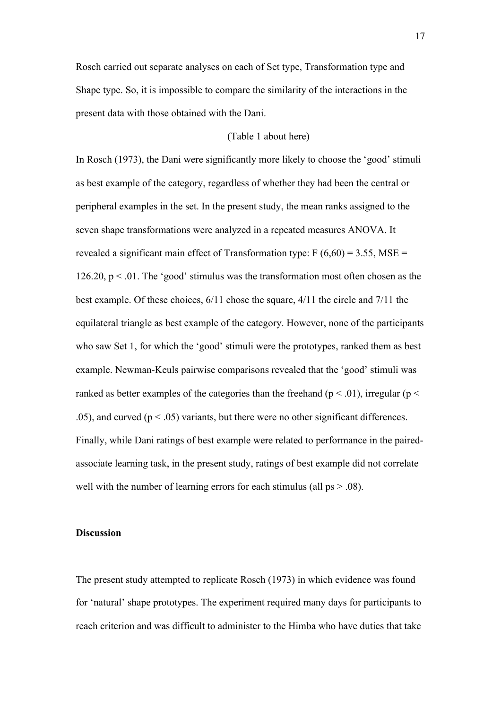Rosch carried out separate analyses on each of Set type, Transformation type and Shape type. So, it is impossible to compare the similarity of the interactions in the present data with those obtained with the Dani.

# (Table 1 about here)

In Rosch (1973), the Dani were significantly more likely to choose the 'good' stimuli as best example of the category, regardless of whether they had been the central or peripheral examples in the set. In the present study, the mean ranks assigned to the seven shape transformations were analyzed in a repeated measures ANOVA. It revealed a significant main effect of Transformation type:  $F(6,60) = 3.55$ , MSE = 126.20,  $p < 0.01$ . The 'good' stimulus was the transformation most often chosen as the best example. Of these choices, 6/11 chose the square, 4/11 the circle and 7/11 the equilateral triangle as best example of the category. However, none of the participants who saw Set 1, for which the 'good' stimuli were the prototypes, ranked them as best example. Newman-Keuls pairwise comparisons revealed that the 'good' stimuli was ranked as better examples of the categories than the freehand ( $p < .01$ ), irregular ( $p <$ .05), and curved ( $p < .05$ ) variants, but there were no other significant differences. Finally, while Dani ratings of best example were related to performance in the pairedassociate learning task, in the present study, ratings of best example did not correlate well with the number of learning errors for each stimulus (all ps  $> .08$ ).

# **Discussion**

The present study attempted to replicate Rosch (1973) in which evidence was found for 'natural' shape prototypes. The experiment required many days for participants to reach criterion and was difficult to administer to the Himba who have duties that take

17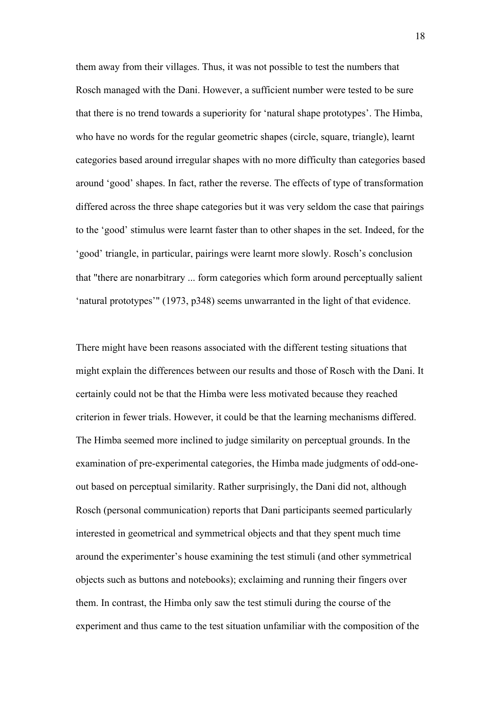them away from their villages. Thus, it was not possible to test the numbers that Rosch managed with the Dani. However, a sufficient number were tested to be sure that there is no trend towards a superiority for 'natural shape prototypes'. The Himba, who have no words for the regular geometric shapes (circle, square, triangle), learnt categories based around irregular shapes with no more difficulty than categories based around 'good' shapes. In fact, rather the reverse. The effects of type of transformation differed across the three shape categories but it was very seldom the case that pairings to the 'good' stimulus were learnt faster than to other shapes in the set. Indeed, for the 'good' triangle, in particular, pairings were learnt more slowly. Rosch's conclusion that "there are nonarbitrary ... form categories which form around perceptually salient 'natural prototypes'" (1973, p348) seems unwarranted in the light of that evidence.

There might have been reasons associated with the different testing situations that might explain the differences between our results and those of Rosch with the Dani. It certainly could not be that the Himba were less motivated because they reached criterion in fewer trials. However, it could be that the learning mechanisms differed. The Himba seemed more inclined to judge similarity on perceptual grounds. In the examination of pre-experimental categories, the Himba made judgments of odd-oneout based on perceptual similarity. Rather surprisingly, the Dani did not, although Rosch (personal communication) reports that Dani participants seemed particularly interested in geometrical and symmetrical objects and that they spent much time around the experimenter's house examining the test stimuli (and other symmetrical objects such as buttons and notebooks); exclaiming and running their fingers over them. In contrast, the Himba only saw the test stimuli during the course of the experiment and thus came to the test situation unfamiliar with the composition of the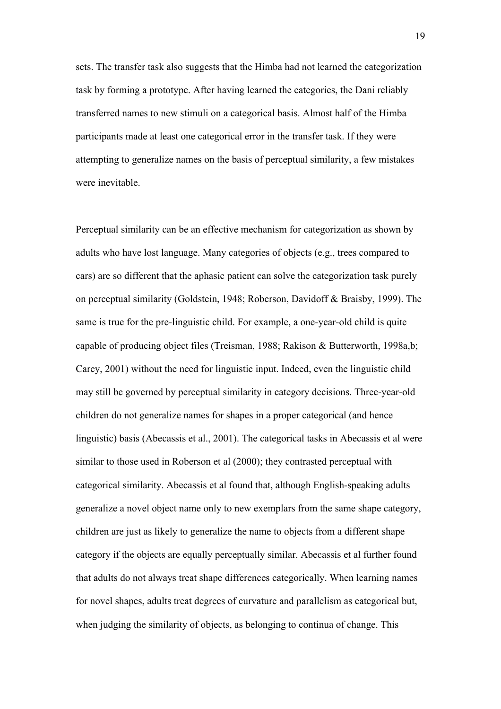sets. The transfer task also suggests that the Himba had not learned the categorization task by forming a prototype. After having learned the categories, the Dani reliably transferred names to new stimuli on a categorical basis. Almost half of the Himba participants made at least one categorical error in the transfer task. If they were attempting to generalize names on the basis of perceptual similarity, a few mistakes were inevitable.

Perceptual similarity can be an effective mechanism for categorization as shown by adults who have lost language. Many categories of objects (e.g., trees compared to cars) are so different that the aphasic patient can solve the categorization task purely on perceptual similarity (Goldstein, 1948; Roberson, Davidoff & Braisby, 1999). The same is true for the pre-linguistic child. For example, a one-year-old child is quite capable of producing object files (Treisman, 1988; Rakison & Butterworth, 1998a,b; Carey, 2001) without the need for linguistic input. Indeed, even the linguistic child may still be governed by perceptual similarity in category decisions. Three-year-old children do not generalize names for shapes in a proper categorical (and hence linguistic) basis (Abecassis et al., 2001). The categorical tasks in Abecassis et al were similar to those used in Roberson et al (2000); they contrasted perceptual with categorical similarity. Abecassis et al found that, although English-speaking adults generalize a novel object name only to new exemplars from the same shape category, children are just as likely to generalize the name to objects from a different shape category if the objects are equally perceptually similar. Abecassis et al further found that adults do not always treat shape differences categorically. When learning names for novel shapes, adults treat degrees of curvature and parallelism as categorical but, when judging the similarity of objects, as belonging to continua of change. This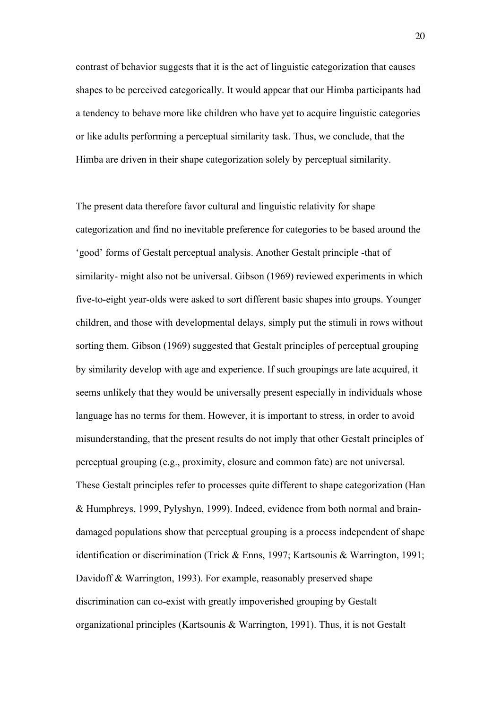contrast of behavior suggests that it is the act of linguistic categorization that causes shapes to be perceived categorically. It would appear that our Himba participants had a tendency to behave more like children who have yet to acquire linguistic categories or like adults performing a perceptual similarity task. Thus, we conclude, that the Himba are driven in their shape categorization solely by perceptual similarity.

The present data therefore favor cultural and linguistic relativity for shape categorization and find no inevitable preference for categories to be based around the 'good' forms of Gestalt perceptual analysis. Another Gestalt principle -that of similarity- might also not be universal. Gibson (1969) reviewed experiments in which five-to-eight year-olds were asked to sort different basic shapes into groups. Younger children, and those with developmental delays, simply put the stimuli in rows without sorting them. Gibson (1969) suggested that Gestalt principles of perceptual grouping by similarity develop with age and experience. If such groupings are late acquired, it seems unlikely that they would be universally present especially in individuals whose language has no terms for them. However, it is important to stress, in order to avoid misunderstanding, that the present results do not imply that other Gestalt principles of perceptual grouping (e.g., proximity, closure and common fate) are not universal. These Gestalt principles refer to processes quite different to shape categorization (Han & Humphreys, 1999, Pylyshyn, 1999). Indeed, evidence from both normal and braindamaged populations show that perceptual grouping is a process independent of shape identification or discrimination (Trick & Enns, 1997; Kartsounis & Warrington, 1991; Davidoff & Warrington, 1993). For example, reasonably preserved shape discrimination can co-exist with greatly impoverished grouping by Gestalt organizational principles (Kartsounis & Warrington, 1991). Thus, it is not Gestalt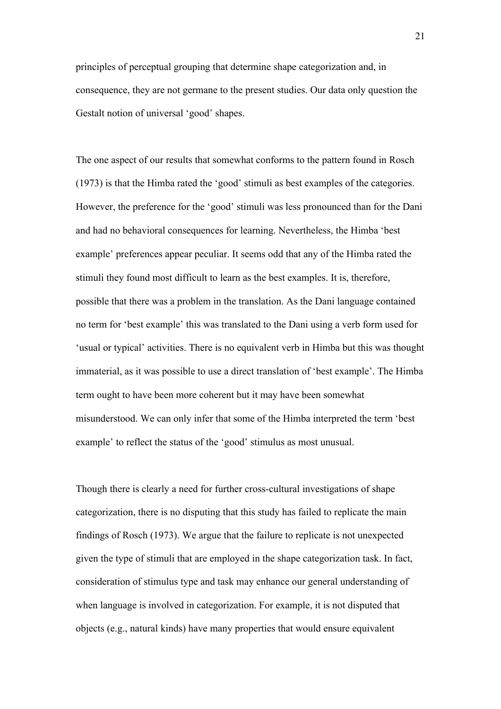principles of perceptual grouping that determine shape categorization and, in consequence, they are not germane to the present studies. Our data only question the Gestalt notion of universal 'good' shapes.

The one aspect of our results that somewhat conforms to the pattern found in Rosch (1973) is that the Himba rated the 'good' stimuli as best examples of the categories. However, the preference for the 'good' stimuli was less pronounced than for the Dani and had no behavioral consequences for learning. Nevertheless, the Himba 'best example' preferences appear peculiar. It seems odd that any of the Himba rated the stimuli they found most difficult to learn as the best examples. It is, therefore, possible that there was a problem in the translation. As the Dani language contained no term for 'best example' this was translated to the Dani using a verb form used for 'usual or typical' activities. There is no equivalent verb in Himba but this was thought immaterial, as it was possible to use a direct translation of 'best example'. The Himba term ought to have been more coherent but it may have been somewhat misunderstood. We can only infer that some of the Himba interpreted the term 'best example' to reflect the status of the 'good' stimulus as most unusual.

Though there is clearly a need for further cross-cultural investigations of shape categorization, there is no disputing that this study has failed to replicate the main findings of Rosch (1973). We argue that the failure to replicate is not unexpected given the type of stimuli that are employed in the shape categorization task. In fact, consideration of stimulus type and task may enhance our general understanding of when language is involved in categorization. For example, it is not disputed that objects (e.g., natural kinds) have many properties that would ensure equivalent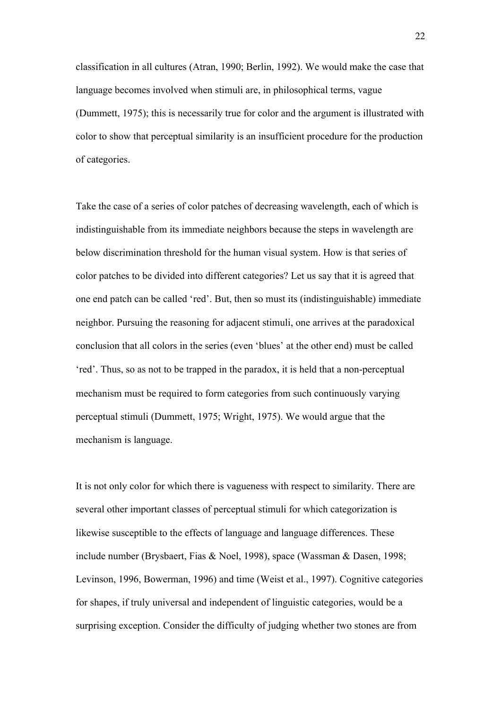classification in all cultures (Atran, 1990; Berlin, 1992). We would make the case that language becomes involved when stimuli are, in philosophical terms, vague (Dummett, 1975); this is necessarily true for color and the argument is illustrated with color to show that perceptual similarity is an insufficient procedure for the production of categories.

Take the case of a series of color patches of decreasing wavelength, each of which is indistinguishable from its immediate neighbors because the steps in wavelength are below discrimination threshold for the human visual system. How is that series of color patches to be divided into different categories? Let us say that it is agreed that one end patch can be called 'red'. But, then so must its (indistinguishable) immediate neighbor. Pursuing the reasoning for adjacent stimuli, one arrives at the paradoxical conclusion that all colors in the series (even 'blues' at the other end) must be called 'red'. Thus, so as not to be trapped in the paradox, it is held that a non-perceptual mechanism must be required to form categories from such continuously varying perceptual stimuli (Dummett, 1975; Wright, 1975). We would argue that the mechanism is language.

It is not only color for which there is vagueness with respect to similarity. There are several other important classes of perceptual stimuli for which categorization is likewise susceptible to the effects of language and language differences. These include number (Brysbaert, Fias & Noel, 1998), space (Wassman & Dasen, 1998; Levinson, 1996, Bowerman, 1996) and time (Weist et al., 1997). Cognitive categories for shapes, if truly universal and independent of linguistic categories, would be a surprising exception. Consider the difficulty of judging whether two stones are from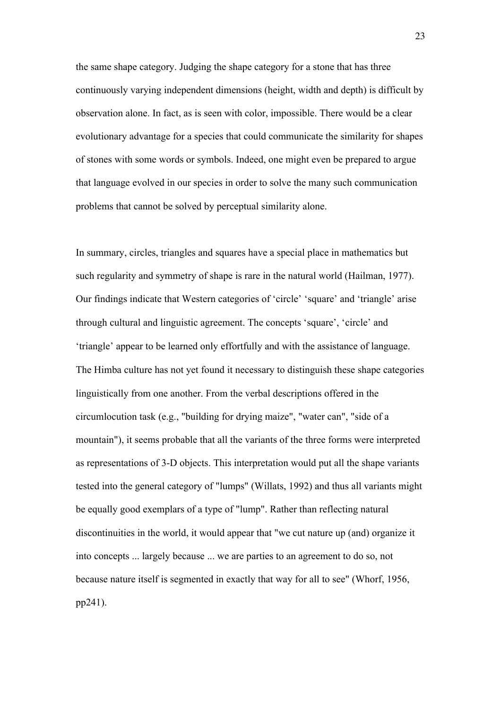the same shape category. Judging the shape category for a stone that has three continuously varying independent dimensions (height, width and depth) is difficult by observation alone. In fact, as is seen with color, impossible. There would be a clear evolutionary advantage for a species that could communicate the similarity for shapes of stones with some words or symbols. Indeed, one might even be prepared to argue that language evolved in our species in order to solve the many such communication problems that cannot be solved by perceptual similarity alone.

In summary, circles, triangles and squares have a special place in mathematics but such regularity and symmetry of shape is rare in the natural world (Hailman, 1977). Our findings indicate that Western categories of 'circle' 'square' and 'triangle' arise through cultural and linguistic agreement. The concepts 'square', 'circle' and 'triangle' appear to be learned only effortfully and with the assistance of language. The Himba culture has not yet found it necessary to distinguish these shape categories linguistically from one another. From the verbal descriptions offered in the circumlocution task (e.g., "building for drying maize", "water can", "side of a mountain"), it seems probable that all the variants of the three forms were interpreted as representations of 3-D objects. This interpretation would put all the shape variants tested into the general category of "lumps" (Willats, 1992) and thus all variants might be equally good exemplars of a type of "lump". Rather than reflecting natural discontinuities in the world, it would appear that "we cut nature up (and) organize it into concepts ... largely because ... we are parties to an agreement to do so, not because nature itself is segmented in exactly that way for all to see" (Whorf, 1956, pp241).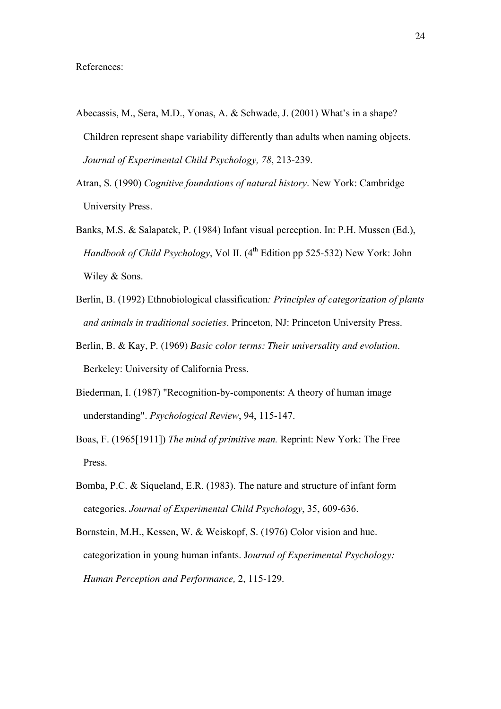- Abecassis, M., Sera, M.D., Yonas, A. & Schwade, J. (2001) What's in a shape? Children represent shape variability differently than adults when naming objects. *Journal of Experimental Child Psychology, 78*, 213-239.
- Atran, S. (1990) *Cognitive foundations of natural history*. New York: Cambridge University Press.
- Banks, M.S. & Salapatek, P. (1984) Infant visual perception. In: P.H. Mussen (Ed.), *Handbook of Child Psychology*, Vol II. (4<sup>th</sup> Edition pp 525-532) New York: John Wiley & Sons.
- Berlin, B. (1992) Ethnobiological classification*: Principles of categorization of plants and animals in traditional societies*. Princeton, NJ: Princeton University Press.
- Berlin, B. & Kay, P. (1969) *Basic color terms: Their universality and evolution*. Berkeley: University of California Press.
- Biederman, I. (1987) "Recognition-by-components: A theory of human image understanding". *Psychological Review*, 94, 115-147.
- Boas, F. (1965[1911]) *The mind of primitive man.* Reprint: New York: The Free Press.
- Bomba, P.C. & Siqueland, E.R. (1983). The nature and structure of infant form categories. *Journal of Experimental Child Psychology*, 35, 609-636.
- Bornstein, M.H., Kessen, W. & Weiskopf, S. (1976) Color vision and hue. categorization in young human infants. J*ournal of Experimental Psychology: Human Perception and Performance,* 2, 115-129.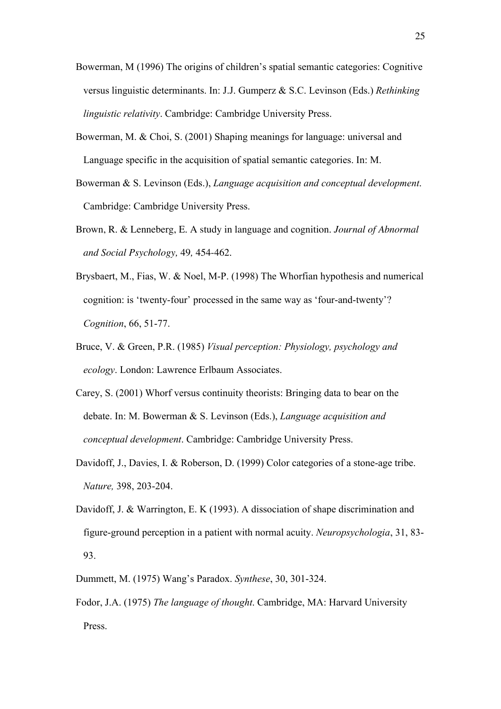- Bowerman, M (1996) The origins of children's spatial semantic categories: Cognitive versus linguistic determinants. In: J.J. Gumperz & S.C. Levinson (Eds.) *Rethinking linguistic relativity*. Cambridge: Cambridge University Press.
- Bowerman, M. & Choi, S. (2001) Shaping meanings for language: universal and Language specific in the acquisition of spatial semantic categories. In: M.
- Bowerman & S. Levinson (Eds.), *Language acquisition and conceptual development*. Cambridge: Cambridge University Press.
- Brown, R. & Lenneberg, E. A study in language and cognition. *Journal of Abnormal and Social Psychology,* 49*,* 454-462.
- Brysbaert, M., Fias, W. & Noel, M-P. (1998) The Whorfian hypothesis and numerical cognition: is 'twenty-four' processed in the same way as 'four-and-twenty'? *Cognition*, 66, 51-77.
- Bruce, V. & Green, P.R. (1985) *Visual perception: Physiology, psychology and ecology*. London: Lawrence Erlbaum Associates.
- Carey, S. (2001) Whorf versus continuity theorists: Bringing data to bear on the debate. In: M. Bowerman & S. Levinson (Eds.), *Language acquisition and conceptual development*. Cambridge: Cambridge University Press.
- Davidoff, J., Davies, I. & Roberson, D. (1999) Color categories of a stone-age tribe. *Nature,* 398, 203-204.
- Davidoff, J. & Warrington, E. K (1993). A dissociation of shape discrimination and figure-ground perception in a patient with normal acuity. *Neuropsychologia*, 31, 83- 93.
- Dummett, M. (1975) Wang's Paradox. *Synthese*, 30, 301-324.
- Fodor, J.A. (1975) *The language of thought*. Cambridge, MA: Harvard University Press.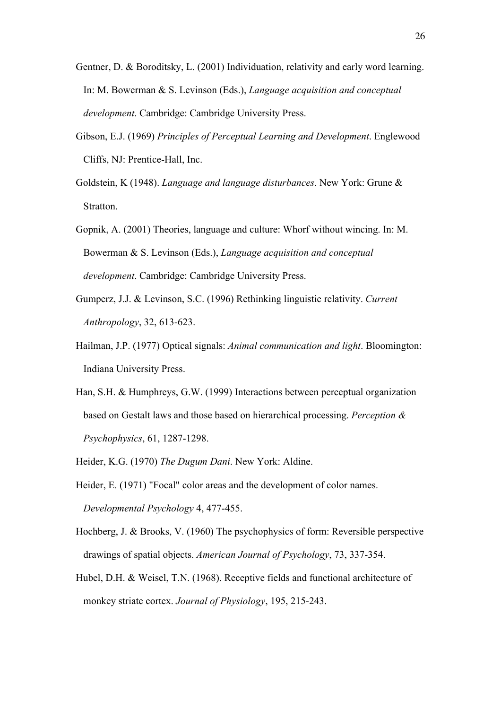- Gentner, D. & Boroditsky, L. (2001) Individuation, relativity and early word learning. In: M. Bowerman & S. Levinson (Eds.), *Language acquisition and conceptual development*. Cambridge: Cambridge University Press.
- Gibson, E.J. (1969) *Principles of Perceptual Learning and Development*. Englewood Cliffs, NJ: Prentice-Hall, Inc.
- Goldstein, K (1948). *Language and language disturbances*. New York: Grune & Stratton.
- Gopnik, A. (2001) Theories, language and culture: Whorf without wincing. In: M. Bowerman & S. Levinson (Eds.), *Language acquisition and conceptual development*. Cambridge: Cambridge University Press.
- Gumperz, J.J. & Levinson, S.C. (1996) Rethinking linguistic relativity. *Current Anthropology*, 32, 613-623.
- Hailman, J.P. (1977) Optical signals: *Animal communication and light*. Bloomington: Indiana University Press.
- Han, S.H. & Humphreys, G.W. (1999) Interactions between perceptual organization based on Gestalt laws and those based on hierarchical processing. *Perception & Psychophysics*, 61, 1287-1298.

Heider, K.G. (1970) *The Dugum Dani*. New York: Aldine.

- Heider, E. (1971) "Focal" color areas and the development of color names. *Developmental Psychology* 4, 477-455.
- Hochberg, J. & Brooks, V. (1960) The psychophysics of form: Reversible perspective drawings of spatial objects. *American Journal of Psychology*, 73, 337-354.
- Hubel, D.H. & Weisel, T.N. (1968). Receptive fields and functional architecture of monkey striate cortex. *Journal of Physiology*, 195, 215-243.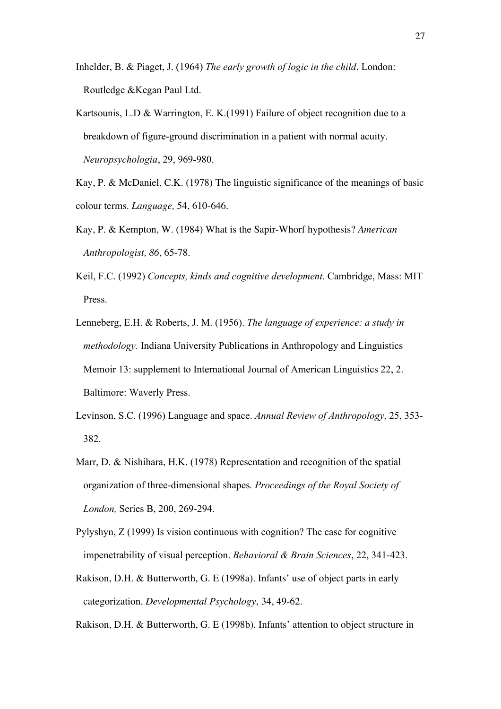- Inhelder, B. & Piaget, J. (1964) *The early growth of logic in the child*. London: Routledge &Kegan Paul Ltd.
- Kartsounis, L.D & Warrington, E. K.(1991) Failure of object recognition due to a breakdown of figure-ground discrimination in a patient with normal acuity. *Neuropsychologia*, 29, 969-980.
- Kay, P. & McDaniel, C.K. (1978) The linguistic significance of the meanings of basic colour terms. *Language,* 54, 610-646.
- Kay, P. & Kempton, W. (1984) What is the Sapir-Whorf hypothesis? *American Anthropologist, 86*, 65-78.
- Keil, F.C. (1992) *Concepts, kinds and cognitive development*. Cambridge, Mass: MIT Press.
- Lenneberg, E.H. & Roberts, J. M. (1956). *The language of experience: a study in methodology.* Indiana University Publications in Anthropology and Linguistics Memoir 13: supplement to International Journal of American Linguistics 22, 2. Baltimore: Waverly Press.
- Levinson, S.C. (1996) Language and space. *Annual Review of Anthropology*, 25, 353- 382.
- Marr, D. & Nishihara, H.K. (1978) Representation and recognition of the spatial organization of three-dimensional shapes*. Proceedings of the Royal Society of London,* Series B, 200, 269-294.
- Pylyshyn, Z (1999) Is vision continuous with cognition? The case for cognitive impenetrability of visual perception. *Behavioral & Brain Sciences*, 22, 341-423.
- Rakison, D.H. & Butterworth, G. E (1998a). Infants' use of object parts in early categorization. *Developmental Psychology*, 34, 49-62.

Rakison, D.H. & Butterworth, G. E (1998b). Infants' attention to object structure in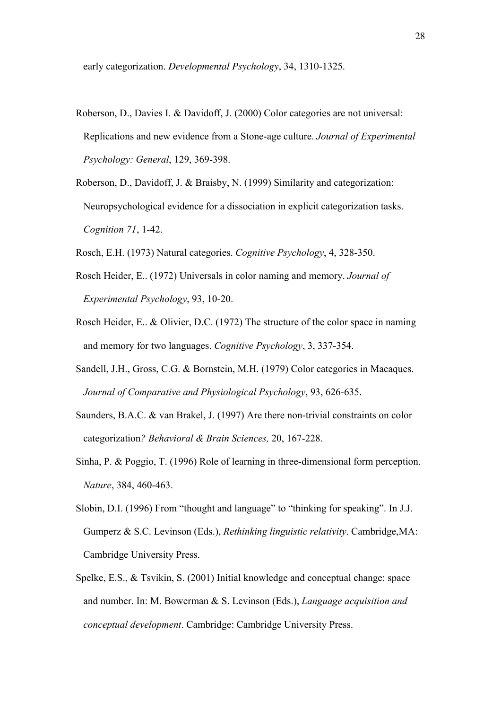early categorization. *Developmental Psychology*, 34, 1310-1325.

- Roberson, D., Davies I. & Davidoff, J. (2000) Color categories are not universal: Replications and new evidence from a Stone-age culture. *Journal of Experimental Psychology: General*, 129, 369-398.
- Roberson, D., Davidoff, J. & Braisby, N. (1999) Similarity and categorization: Neuropsychological evidence for a dissociation in explicit categorization tasks. *Cognition 71*, 1-42.
- Rosch, E.H. (1973) Natural categories. *Cognitive Psychology*, 4, 328-350.
- Rosch Heider, E.. (1972) Universals in color naming and memory. *Journal of Experimental Psychology*, 93, 10-20.
- Rosch Heider, E.. & Olivier, D.C. (1972) The structure of the color space in naming and memory for two languages. *Cognitive Psychology*, 3, 337-354.
- Sandell, J.H., Gross, C.G. & Bornstein, M.H. (1979) Color categories in Macaques. *Journal of Comparative and Physiological Psychology*, 93, 626-635.
- Saunders, B.A.C. & van Brakel, J. (1997) Are there non-trivial constraints on color categorization*? Behavioral & Brain Sciences,* 20, 167-228.
- Sinha, P. & Poggio, T. (1996) Role of learning in three-dimensional form perception. *Nature*, 384, 460-463.
- Slobin, D.I. (1996) From "thought and language" to "thinking for speaking". In J.J. Gumperz & S.C. Levinson (Eds.), *Rethinking linguistic relativity*. Cambridge,MA: Cambridge University Press.
- Spelke, E.S., & Tsvikin, S. (2001) Initial knowledge and conceptual change: space and number. In: M. Bowerman & S. Levinson (Eds.), *Language acquisition and conceptual development*. Cambridge: Cambridge University Press.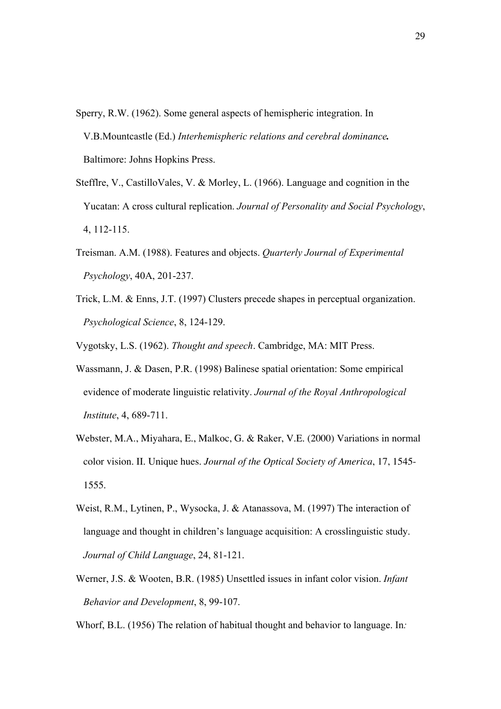- Sperry, R.W. (1962). Some general aspects of hemispheric integration. In V.B.Mountcastle (Ed.) *Interhemispheric relations and cerebral dominance.* Baltimore: Johns Hopkins Press.
- Stefflre, V., CastilloVales, V. & Morley, L. (1966). Language and cognition in the Yucatan: A cross cultural replication. *Journal of Personality and Social Psychology*, 4, 112-115.
- Treisman. A.M. (1988). Features and objects. *Quarterly Journal of Experimental Psychology*, 40A, 201-237.
- Trick, L.M. & Enns, J.T. (1997) Clusters precede shapes in perceptual organization. *Psychological Science*, 8, 124-129.

Vygotsky, L.S. (1962). *Thought and speech*. Cambridge, MA: MIT Press.

- Wassmann, J. & Dasen, P.R. (1998) Balinese spatial orientation: Some empirical evidence of moderate linguistic relativity. *Journal of the Royal Anthropological Institute*, 4, 689-711.
- Webster, M.A., Miyahara, E., Malkoc, G. & Raker, V.E. (2000) Variations in normal color vision. II. Unique hues. *Journal of the Optical Society of America*, 17, 1545- 1555.
- Weist, R.M., Lytinen, P., Wysocka, J. & Atanassova, M. (1997) The interaction of language and thought in children's language acquisition: A crosslinguistic study. *Journal of Child Language*, 24, 81-121.
- Werner, J.S. & Wooten, B.R. (1985) Unsettled issues in infant color vision. *Infant Behavior and Development*, 8, 99-107.

Whorf, B.L. (1956) The relation of habitual thought and behavior to language. In*:*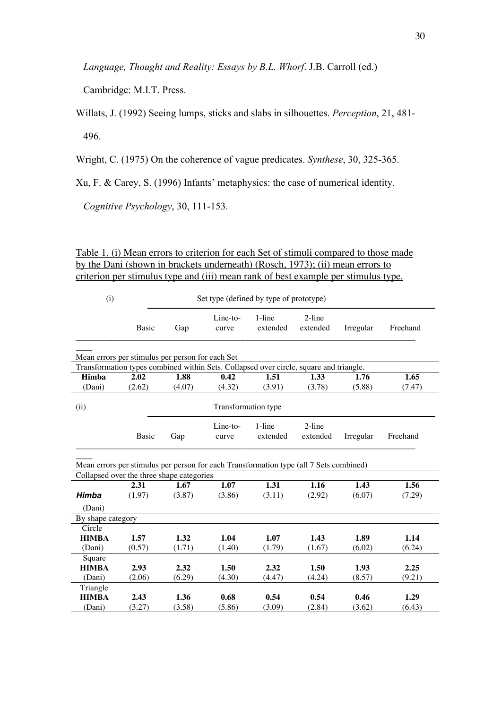*Language, Thought and Reality: Essays by B.L. Whorf*. J.B. Carroll (ed.)

Cambridge: M.I.T. Press.

Willats, J. (1992) Seeing lumps, sticks and slabs in silhouettes. *Perception*, 21, 481- 496.

Wright, C. (1975) On the coherence of vague predicates. *Synthese*, 30, 325-365.

Xu, F. & Carey, S. (1996) Infants' metaphysics: the case of numerical identity.

*Cognitive Psychology*, 30, 111-153.

Table 1. (i) Mean errors to criterion for each Set of stimuli compared to those made by the Dani (shown in brackets underneath) (Rosch, 1973); (ii) mean errors to criterion per stimulus type and (iii) mean rank of best example per stimulus type.

| (i)                                                                                                                                                     | Set type (defined by type of prototype)   |                |                   |                    |                       |                |                |  |
|---------------------------------------------------------------------------------------------------------------------------------------------------------|-------------------------------------------|----------------|-------------------|--------------------|-----------------------|----------------|----------------|--|
|                                                                                                                                                         | Basic                                     | Gap            | Line-to-<br>curve | 1-line<br>extended | 2-line<br>extended    | Irregular      | Freehand       |  |
| Mean errors per stimulus per person for each Set                                                                                                        |                                           |                |                   |                    |                       |                |                |  |
| Transformation types combined within Sets. Collapsed over circle, square and triangle.<br>Himba<br>2.02<br>1.88<br>0.42<br>1.51<br>1.33<br>1.65<br>1.76 |                                           |                |                   |                    |                       |                |                |  |
| (Dani)                                                                                                                                                  | (2.62)                                    | (4.07)         | (4.32)            | (3.91)             | (3.78)                | (5.88)         | (7.47)         |  |
| Transformation type<br>(ii)                                                                                                                             |                                           |                |                   |                    |                       |                |                |  |
|                                                                                                                                                         | Basic                                     | Gap            | Line-to-<br>curve | 1-line<br>extended | $2$ -line<br>extended | Irregular      | Freehand       |  |
| Mean errors per stimulus per person for each Transformation type (all 7 Sets combined)                                                                  |                                           |                |                   |                    |                       |                |                |  |
|                                                                                                                                                         | Collapsed over the three shape categories |                |                   |                    |                       |                |                |  |
| Himba                                                                                                                                                   | 2.31<br>(1.97)                            | 1.67<br>(3.87) | 1.07<br>(3.86)    | 1.31<br>(3.11)     | 1.16<br>(2.92)        | 1.43<br>(6.07) | 1.56<br>(7.29) |  |
| (Dani)                                                                                                                                                  |                                           |                |                   |                    |                       |                |                |  |
| By shape category                                                                                                                                       |                                           |                |                   |                    |                       |                |                |  |
| Circle                                                                                                                                                  |                                           |                |                   |                    |                       |                |                |  |
| <b>HIMBA</b>                                                                                                                                            | 1.57                                      | 1.32           | 1.04              | 1.07               | 1.43                  | 1.89           | 1.14           |  |
| (Dani)                                                                                                                                                  | (0.57)                                    | (1.71)         | (1.40)            | (1.79)             | (1.67)                | (6.02)         | (6.24)         |  |
| Square<br><b>HIMBA</b>                                                                                                                                  | 2.93                                      | 2.32           | 1.50              | 2.32               | 1.50                  | 1.93           | 2.25           |  |
| (Dani)                                                                                                                                                  | (2.06)                                    | (6.29)         | (4.30)            | (4.47)             | (4.24)                | (8.57)         | (9.21)         |  |
| Triangle                                                                                                                                                |                                           |                |                   |                    |                       |                |                |  |
| <b>HIMBA</b>                                                                                                                                            | 2.43                                      | 1.36           | 0.68              | 0.54               | 0.54                  | 0.46           | 1.29           |  |
| (Dani)                                                                                                                                                  | (3.27)                                    | (3.58)         | (5.86)            | (3.09)             | (2.84)                | (3.62)         | (6.43)         |  |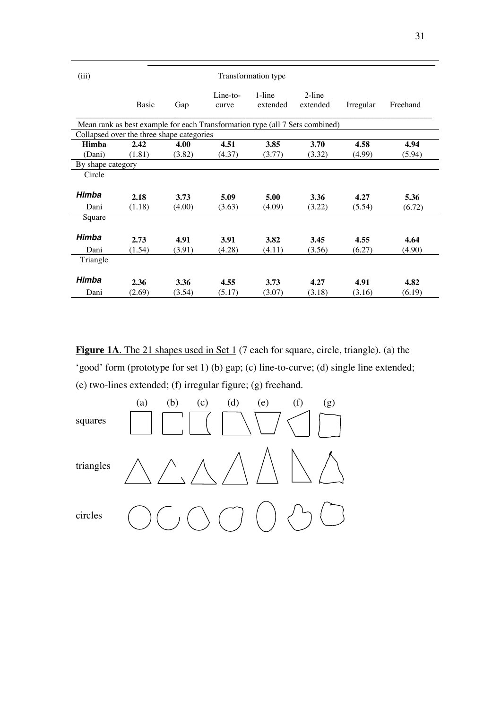| (iii)                                                                        | Transformation type |        |                     |                    |                       |           |          |  |  |
|------------------------------------------------------------------------------|---------------------|--------|---------------------|--------------------|-----------------------|-----------|----------|--|--|
|                                                                              | Basic               | Gap    | $Line-to-$<br>curve | 1-line<br>extended | $2$ -line<br>extended | Irregular | Freehand |  |  |
| Mean rank as best example for each Transformation type (all 7 Sets combined) |                     |        |                     |                    |                       |           |          |  |  |
| Collapsed over the three shape categories                                    |                     |        |                     |                    |                       |           |          |  |  |
| <b>Himba</b>                                                                 | 2.42                | 4.00   | 4.51                | 3.85               | 3.70                  | 4.58      | 4.94     |  |  |
| (Dani)                                                                       | (1.81)              | (3.82) | (4.37)              | (3.77)             | (3.32)                | (4.99)    | (5.94)   |  |  |
| By shape category                                                            |                     |        |                     |                    |                       |           |          |  |  |
| Circle                                                                       |                     |        |                     |                    |                       |           |          |  |  |
|                                                                              |                     |        |                     |                    |                       |           |          |  |  |
| Himba                                                                        | 2.18                | 3.73   | 5.09                | 5.00               | 3.36                  | 4.27      | 5.36     |  |  |
| Dani                                                                         | (1.18)              | (4.00) | (3.63)              | (4.09)             | (3.22)                | (5.54)    | (6.72)   |  |  |
| Square                                                                       |                     |        |                     |                    |                       |           |          |  |  |
|                                                                              |                     |        |                     |                    |                       |           |          |  |  |
| Himba                                                                        | 2.73                | 4.91   | 3.91                | 3.82               | 3.45                  | 4.55      | 4.64     |  |  |
| Dani                                                                         | (1.54)              | (3.91) | (4.28)              | (4.11)             | (3.56)                | (6.27)    | (4.90)   |  |  |
| Triangle                                                                     |                     |        |                     |                    |                       |           |          |  |  |
|                                                                              |                     |        |                     |                    |                       |           |          |  |  |
| Himba                                                                        | 2.36                | 3.36   | 4.55                | 3.73               | 4.27                  | 4.91      | 4.82     |  |  |
| Dani                                                                         | (2.69)              | (3.54) | (5.17)              | (3.07)             | (3.18)                | (3.16)    | (6.19)   |  |  |

Figure 1A. The 21 shapes used in Set 1 (7 each for square, circle, triangle). (a) the 'good' form (prototype for set 1) (b) gap; (c) line-to-curve; (d) single line extended; (e) two-lines extended; (f) irregular figure; (g) freehand.